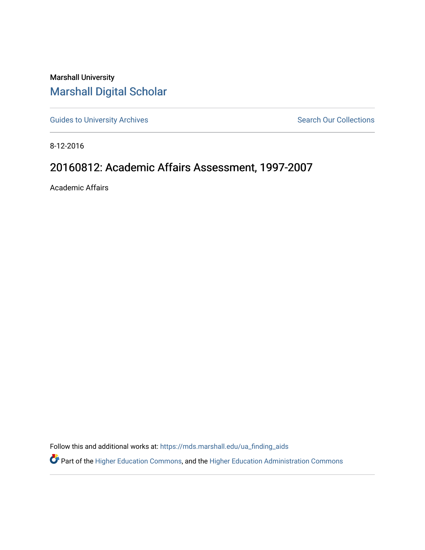Marshall University [Marshall Digital Scholar](https://mds.marshall.edu/)

[Guides to University Archives](https://mds.marshall.edu/ua_finding_aids) **Search Our Collections** Search Our Collections

8-12-2016

## 20160812: Academic Affairs Assessment, 1997-2007

Academic Affairs

Follow this and additional works at: [https://mds.marshall.edu/ua\\_finding\\_aids](https://mds.marshall.edu/ua_finding_aids?utm_source=mds.marshall.edu%2Fua_finding_aids%2F62&utm_medium=PDF&utm_campaign=PDFCoverPages) 

Part of the [Higher Education Commons,](http://network.bepress.com/hgg/discipline/1245?utm_source=mds.marshall.edu%2Fua_finding_aids%2F62&utm_medium=PDF&utm_campaign=PDFCoverPages) and the [Higher Education Administration Commons](http://network.bepress.com/hgg/discipline/791?utm_source=mds.marshall.edu%2Fua_finding_aids%2F62&utm_medium=PDF&utm_campaign=PDFCoverPages)